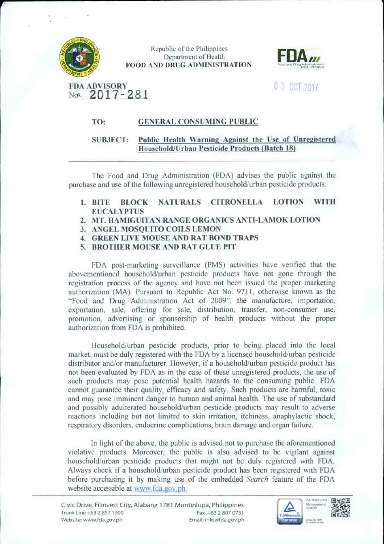

Republic of the Philippines Department of Health FOOD AND DRUG ADMINISTRATION



### FDA ADVISORY  $\begin{array}{ccc} 0 & 3 & 0 \\ 0 & 0 & 7017 \end{array}$ Not. 2017-281

### TO: GENERAL CONSUMING PUBLIC

### SUBJECT: Public Health Warning Against the Use of Unregistered Household/Urban Pesticide Products (Batch 18)

The food and Drug Administration (FDA) advises the public against the purchase and use of the following unregistered household/urban pesticide products:

- 1. BITE BLOCK NATURALS CITRONELLA LOTION WITH EUCALYPTUS
- 2. MT. HAMIGUITAN RANGE ORGANICS ANTI-LAMOK LOTION
- 3. ANGEL MOSQUITO COILS LEMON
- 4. GREEN LIVE MOUSE AND RAT BOND *TRAPS*
- S. BROTHER MOUSE AND RAT GLUE PIT

FDA post-marketing surveillance (PMS) activities have verified that the abovementioned household/urban pesticide products have not gone through the registration process of the agency and have not been issued the proper marketing authorization (MA). Pursuant to Republic Act No. 9711, otherwise known as the "Food and Drug Administration Act of 2009'', the manufacture, importation. exportation, sale, offering for sale, distribution, transfer, non-consumer use. promotion, advertising or sponsorship of health products without the proper authorization from FDA is prohibited

Household/urban pesticide products, prior to being placed into the local market, must be duly registered with the FDA by a licensed household/urban pesticide distributor and/or manufacturer. However, if a household/urban pesticide product has not been evaluated by FDA as in the case of these unregistered products, the use of such products may pose potential health hazards to the consuming public. FDA cannot guarantee their quality, efficacy and safety. Such products are harmful. toxic and may pose imminent danger to human and animal health. The use of substandard and possibly adulterated household/urban pesticide products may result to adverse reactions including but not limited to skin irritation, itchiness, anaphylactic shock, respiratory disorders, endocrine complications, brain damage and organ failure.

In light of the above, the public is advised not to purchase the aforementioned violative products. Moreover, the public is also advised to be vigilant against household/urban pesticide products that might not be duly registered with FDA Always check if a household/urban pesticide product bas been registered with FDA before purchasing it by making use of the embedded *Search* feature of the FDA website accessible at www.fda.gov.ph.



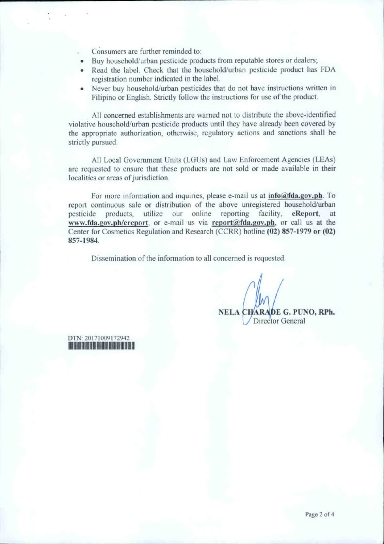Consumers are further reminded to:

- Buy household/urban pesticide products from reputable stores or dealers;
- Read the label. Check that the household/urban pesticide product has FDA registration number indicated in the label.
- Never buy household/urban pesticides that do not have instructions written in Filipino or English. Strictly follow the instructions for use of the product.

All concerned establishments are warned not to distribute the above-identified violative household/urban pesticide products until they have already been covered by the appropriate authorization, otherwise, regulatory actions and sanctions sball be strictly pursued.

All Local Government Units (LGUs) and Law Enforcement Agencies (LEAs) are requested to ensure that these products are not sold or made available in their localities or areas of jurisdiction.

For more information and inquiries, please e-mail us at  $info@fda.gov.ph$ . To report continuous sale or distribution of the above unregistered household/urban pesticide products, utilize our online reporting facility, eReport, at www.fda.gov.ph/ereport, or e-mail us via report@fda.gov.ph, or call us at the Center for Cosmetics Regulation and Research (CCRR) hotline (02) 857-1979 or (02) 857-1984.

Dissemination of the information to all concerned is requested.

NELA CHARADE G. PUNO, RPh. Director General

DTN·20171009172942 **111111111111111111**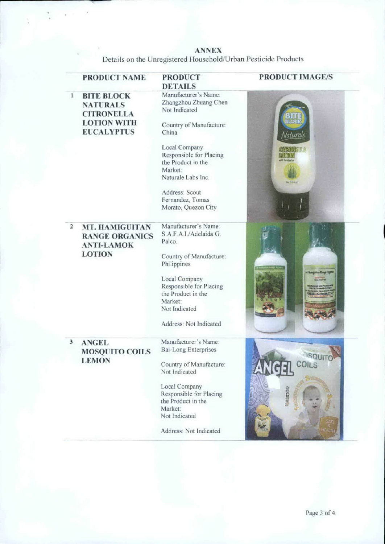**ANNEX**  Details on the Unregistered Household/Urban Pesticide Products

|                | <b>PRODUCT NAME</b>                                                                                  | <b>PRODUCT</b><br><b>DETAILS</b>                                                                                                                                                                 | <b>PRODUCT IMAGE/S</b>                   |
|----------------|------------------------------------------------------------------------------------------------------|--------------------------------------------------------------------------------------------------------------------------------------------------------------------------------------------------|------------------------------------------|
| 1              | <b>BITE BLOCK</b><br><b>NATURALS</b><br><b>CITRONELLA</b><br><b>LOTION WITH</b><br><b>EUCALYPTUS</b> | Manufacturer's Name:<br>Zhangzhou Zhuang Chen<br>Not Indicated<br>Country of Manufacture:<br>China                                                                                               | Naturals                                 |
|                |                                                                                                      | Local Company<br>Responsible for Placing<br>the Product in the<br>Market:<br>Naturale Labs Inc.                                                                                                  | <b>Analone III A</b><br><b>Skitznici</b> |
|                |                                                                                                      | Address: Scout<br>Fernandez, Tomas<br>Morato, Quezon City                                                                                                                                        |                                          |
| $\overline{2}$ | <b>MT. HAMIGUITAN</b><br><b>RANGE ORGANICS</b><br><b>ANTI-LAMOK</b><br><b>LOTION</b>                 | Manufacturer's Name:<br>S.A.F.A.I./Adelaida G.<br>Palco.<br>Country of Manufacture:<br>Philippines<br>Local Company<br>Responsible for Placing<br>the Product in the<br>Market:<br>Not Indicated | Mangelon Rogg Ogni                       |
|                |                                                                                                      | Address: Not Indicated                                                                                                                                                                           |                                          |
| 3              | <b>ANGEL</b><br><b>MOSQUITO COILS</b><br><b>LEMON</b>                                                | Manufacturer's Name:<br><b>Bai-Long Enterprises</b><br>Country of Manufacture:<br>Not Indicated                                                                                                  | ANGE                                     |
|                |                                                                                                      | Local Company<br>Responsible for Placing<br>the Product in the<br>Market:<br>Not Indicated                                                                                                       | DARZOTTETOZ                              |
|                |                                                                                                      | Address: Not Indicated                                                                                                                                                                           |                                          |